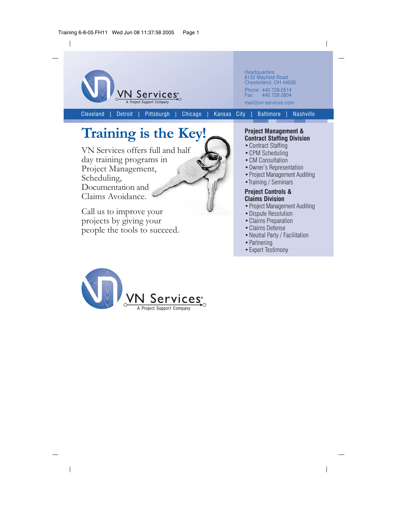

## Training is the Key!

VN Services offers full and half day training programs in Project Management, Scheduling, Documentation and Claims Avoidance.

Call us to improve your projects by giving your people the tools to succeed.

## **Project Management & Contract Staffing Division**

- Contract Staffing
- CPM Scheduling
- CM Consultation
- Owner's Representation
- Project Management Auditing
- Training / Seminars

## **Project Controls & Claims Division**

- Project Management Auditing
- Dispute Resolution
- Claims Preparation
- Claims Defense
- Neutral Party / Facilitation

 $\overline{\phantom{a}}$ 

- Partnering
- Expert Testimony